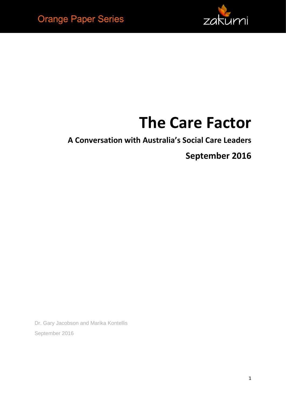

# **The Care Factor**

**A Conversation with Australia's Social Care Leaders**

**September 2016**

Dr. Gary Jacobson and Marika Kontellis September 2016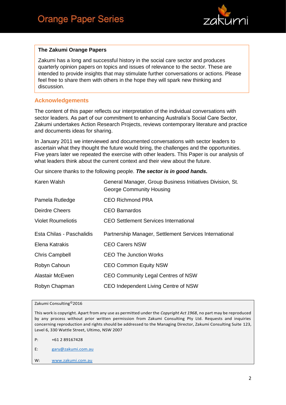

#### **The Zakumi Orange Papers**

Zakumi has a long and successful history in the social care sector and produces quarterly opinion papers on topics and issues of relevance to the sector. These are intended to provide insights that may stimulate further conversations or actions. Please feel free to share them with others in the hope they will spark new thinking and discussion.

#### **Acknowledgements**

The content of this paper reflects our interpretation of the individual conversations with sector leaders. As part of our commitment to enhancing Australia's Social Care Sector, Zakumi undertakes Action Research Projects, reviews contemporary literature and practice and documents ideas for sharing.

In January 2011 we interviewed and documented conversations with sector leaders to ascertain what they thought the future would bring, the challenges and the opportunities. Five years later we repeated the exercise with other leaders. This Paper is our analysis of what leaders think about the current context and their view about the future.

Our sincere thanks to the following people. *The sector is in good hands.* 

| Karen Walsh               | General Manager, Group Business Initiatives Division, St.<br><b>George Community Housing</b> |
|---------------------------|----------------------------------------------------------------------------------------------|
| Pamela Rutledge           | <b>CEO Richmond PRA</b>                                                                      |
| Deirdre Cheers            | CEO Barnardos                                                                                |
| <b>Violet Roumeliotis</b> | <b>CEO Settlement Services International</b>                                                 |
| Esta Chilas - Paschalidis | Partnership Manager, Settlement Services International                                       |
| Elena Katrakis            | <b>CEO Carers NSW</b>                                                                        |
| <b>Chris Campbell</b>     | <b>CEO The Junction Works</b>                                                                |
| Robyn Cahoun              | <b>CEO Common Equity NSW</b>                                                                 |
| Alastair McEwen           | CEO Community Legal Centres of NSW                                                           |
| Robyn Chapman             | CEO Independent Living Centre of NSW                                                         |

#### Zakumi Consulting©2016

This work is copyright. Apart from any use as permitted under the *Copyright Act 1968*, no part may be reproduced by any process without prior written permission from Zakumi Consulting Pty Ltd. Requests and inquiries concerning reproduction and rights should be addressed to the Managing Director, Zakumi Consulting Suite 123, Level 6, 330 Wattle Street, Ultimo, NSW 2007

P: +61 2 89167428

- E: [gary@zakumi.com.au](mailto:gary@zakumi.com.au)
- W: [www.zakumi.com.au](http://www.zakumi.com.au/)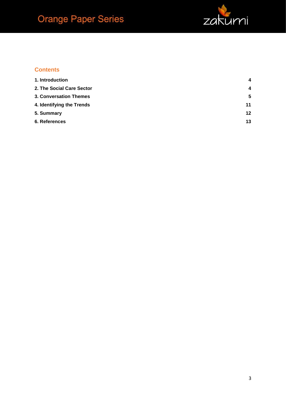

#### **Contents**

| 1. Introduction           | $\overline{\mathbf{4}}$ |
|---------------------------|-------------------------|
| 2. The Social Care Sector | $\overline{\mathbf{4}}$ |
| 3. Conversation Themes    | 5                       |
| 4. Identifying the Trends | 11                      |
| 5. Summary                | 12                      |
| 6. References             | 13                      |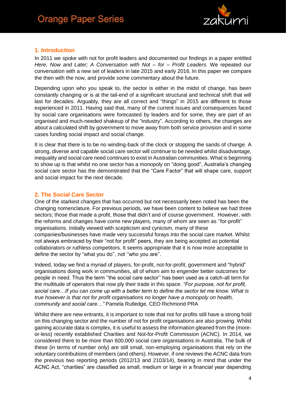

#### <span id="page-3-0"></span>**1. Introduction**

In 2011 we spoke with not for profit leaders and documented our findings in a paper entitled *Here, Now and Later; A Conversation with Not – for – Profit Leaders*. We repeated our conversation with a new set of leaders in late 2015 and early 2016. In this paper we compare the then with the now, and provide some commentary about the future.

Depending upon who you speak to, the sector is either in the midst of change, has been constantly changing or is at the tail-end of a significant structural and technical shift that will last for decades. Arguably, they are all correct and "things" in 2015 are different to those experienced in 2011. Having said that, many of the current issues and consequences faced by social care organisations were forecasted by leaders and for some, they are part of an organised and much-needed shakeup of the "industry". According to others, the changes are about a calculated shift by government to move away from both service provision and in some cases funding social impact and social change.

It is clear that there is to be no winding-back of the clock or stopping the sands of change. A strong, diverse and capable social care sector will continue to be needed whilst disadvantage, inequality and social care need continues to exist in Australian communities. What is beginning to show up is that whilst no one sector has a monopoly on "doing good", Australia's changing social care sector has the demonstrated that the "Care Factor" that will shape care, support and social impact for the next decade.

#### <span id="page-3-1"></span>**2. The Social Care Sector**

One of the starkest changes that has occurred but not necessarily been noted has been the changing nomenclature. For previous periods, we have been content to believe we had three sectors; those that made a profit, those that didn't and of course government. However, with the reforms and changes have come new players, many of whom are seen as ''for-profit'' organisations. Initially viewed with scepticism and cynicism, many of these companies/businesses have made very successful forays into the social care market. Whilst not always embraced by their "not for profit" peers, they are being accepted as potential collaborators or ruthless competitors. It seems appropriate that it is now more acceptable to define the sector by "what you do'', not ''who you are''.

Indeed, today we find a myriad of players, for-profit, not-for-profit, government and "hybrid" organisations doing work in communities, all of whom aim to engender better outcomes for people in need. Thus the term ''the social care sector'' has been used as a catch-all term for the multitude of operators that now ply their trade in this space. *"For purpose, not for profit, social care…If you can come up with a better term to define the sector let me know. What is true however is that not for profit organisations no longer have a monopoly on health, community and social care…"* Pamela Rutledge, CEO Richmond PRA

Whilst there are new entrants, it is important to note that not for profits still have a strong hold on this changing sector and the number of not for profit organisations are also growing. Whilst gaining accurate data is complex, it is useful to assess the information gleaned from the (moreor-less) recently established Charities and Not-for-Profit Commission (ACNC). In 2014, we considered there to be more than 600,000 social care organisations in Australia. The bulk of these (in terms of number only) are still small, non-employing organisations that rely on the voluntary contributions of members (and others). However, if one reviews the ACNC data from the previous two reporting periods (2012/13 and 2103/14), bearing in mind that under the ACNC Act, "charities" are classified as small, medium or large in a financial year depending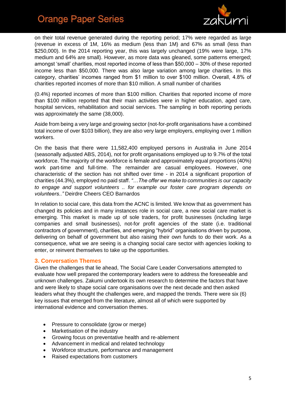

on their total revenue generated during the reporting period; 17% were regarded as large (revenue in excess of 1M, 16% as medium (less than 1M) and 67% as small (less than \$250,000). In the 2014 reporting year, this was largely unchanged (19% were large, 17% medium and 64% are small). However, as more data was gleaned, some patterns emerged; amongst 'small' charities, most reported income of less than \$50,000 – 30% of these reported income less than \$50,000. There was also large variation among large charities. In this category, charities' incomes ranged from \$1 million to over \$100 million. Overall, 4.8% of charities reported incomes of more than \$10 million. A small number of charities

(0.4%) reported incomes of more than \$100 million. Charities that reported income of more than \$100 million reported that their main activities were in higher education, aged care, hospital services, rehabilitation and social services. The sampling in both reporting periods was approximately the same (38,000).

Aside from being a very large and growing sector (not-for-profit organisations have a combined total income of over \$103 billion), they are also very large employers, employing over 1 million workers.

On the basis that there were 11,582,400 employed persons in Australia in June 2014 (seasonally adjusted ABS, 2014), not for profit organisations employed up to 9.7% of the total workforce. The majority of the workforce is female and approximately equal proportions (40%) work part-time and full-time. The remainder are casual employees. However, one characteristic of the section has not shifted over time - in 2014 a significant proportion of charities (44.3%), employed no paid staff. *"…The offer we make to communities is our capacity to engage and support volunteers .. for example our foster care program depends on volunteers.."* Deirdre Cheers CEO Barnardos

In relation to social care, this data from the ACNC is limited. We know that as government has changed its policies and in many instances role in social care, a new social care market is emerging. This market is made up of sole traders, for profit businesses (including large companies and small businesses), not-for profit agencies of the state (i.e. traditional contractors of government), charities, and emerging "hybrid" organisations driven by purpose, delivering on behalf of government but also raising their own funds to do their work. As a consequence, what we are seeing is a changing social care sector with agencies looking to enter, or reinvent themselves to take up the opportunities.

#### <span id="page-4-0"></span>**3. Conversation Themes**

Given the challenges that lie ahead, The Social Care Leader Conversations attempted to evaluate how well prepared the contemporary leaders were to address the foreseeable and unknown challenges. Zakumi undertook its own research to determine the factors that have and were likely to shape social care organisations over the next decade and then asked leaders what they thought the challenges were, and mapped the trends. There were six (6) key issues that emerged from the literature, almost all of which were supported by international evidence and conversation themes.

- Pressure to consolidate (grow or merge)
- Marketisation of the industry
- Growing focus on preventative health and re-ablement
- Advancement in medical and related technology
- Workforce structure, performance and management
- Raised expectations from customers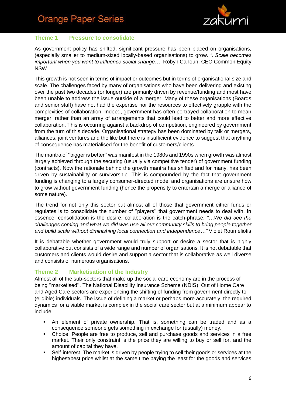

#### **Theme 1 Pressure to consolidate**

As government policy has shifted, significant pressure has been placed on organisations, (especially smaller to medium-sized locally-based organisations) to grow. *"..Scale becomes important when you want to influence social change…"* Robyn Cahoun, CEO Common Equity NSW

This growth is not seen in terms of impact or outcomes but in terms of organisational size and scale. The challenges faced by many of organisations who have been delivering and existing over the past two decades (or longer) are primarily driven by revenue/funding and most have been unable to address the issue outside of a merger. Many of these organisations (Boards and senior staff) have not had the expertise nor the resources to effectively grapple with the complexities of collaboration. Indeed, government has often portrayed collaboration to mean merger, rather than an array of arrangements that could lead to better and more effective collaboration. This is occurring against a backdrop of competition, engineered by government from the turn of this decade. Organisational strategy has been dominated by talk or mergers, alliances, joint ventures and the like but there is insufficient evidence to suggest that anything of consequence has materialised for the benefit of customers/clients.

The mantra of ''bigger is better'' was manifest in the 1980s and 1990s when growth was almost largely achieved through the securing (usually via competitive tender) of government funding (contracts). Now the rationale behind the growth mantra has shifted and for many, has been driven by sustainability or survivorship. This is compounded by the fact that government funding is changing to a largely consumer-directed model and organisations are unsure how to grow without government funding (hence the propensity to entertain a merge or alliance of some nature).

The trend for not only this sector but almost all of those that government either funds or regulates is to consolidate the number of ''players'' that government needs to deal with. In essence, consolidation is the desire, collaboration is the catch-phrase. *"…We did see the challenges coming and what we did was use all our community skills to bring people together and build scale without diminishing local connection and independence…"* Violet Roumeliotis

It is debatable whether government would truly support or desire a sector that is highly collaborative but consists of a wide range and number of organisations. It is not debatable that customers and clients would desire and support a sector that is collaborative as well diverse and consists of numerous organisations.

#### **Theme 2 Marketisation of the Industry**

Almost all of the sub-sectors that make up the social care economy are in the process of being ''marketised''. The National Disability Insurance Scheme (NDIS), Out of Home Care and Aged Care sectors are experiencing the shifting of funding from government directly to (eligible) individuals. The issue of defining a market or perhaps more accurately, the required dynamics for a viable market is complex in the social care sector but at a minimum appear to include:

- An element of private ownership. That is, something can be traded and as a consequence someone gets something in exchange for (usually) money.
- Choice. People are free to produce, sell and purchase goods and services in a free market. Their only constraint is the price they are willing to buy or sell for, and the amount of capital they have.
- Self-interest. The market is driven by people trying to sell their goods or services at the highest/best price whilst at the same time paying the least for the goods and services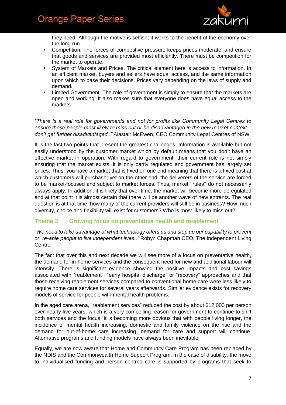

they need. Although the motive is selfish, it works to the benefit of the economy over the long run.

- Competition. The forces of competitive pressure keeps prices moderate, and ensure that goods and services are provided most efficiently. There must be competition for the market to operate.
- System of Markets and Prices. The critical element here is access to information. In an efficient market, buyers and sellers have equal access, and the same information upon which to base their decisions. Prices vary depending on the laws of supply and demand.
- **EXECT** Limited Government. The role of government is simply to ensure that the markets are open and working. It also makes sure that everyone does have equal access to the markets.

*"There is a real role for governments and not for profits like Community Legal Centres to ensure those people most likely to miss out or be disadvantaged in the new market context – don't get further disadvantaged.."* Alastair McEwen, CEO Community Legal Centres of NSW

It is the last two points that present the greatest challenges. Information is available but not easily understood by the customer market which by default means that you don't have an effective market in operation. With regard to government, their current role is not simply ensuring that the market exists; it is only partly regulated and government has largely set prices. Thus, you have a market that is fixed on one end meaning that there is a fixed cost at which customers will purchase; yet on the other end, the deliverers of the service are forced to be market-focused and subject to market forces. Thus, market ''rules'' do not necessarily always apply. In addition, it is likely that over time, the market will become more deregulated and at that point it is almost certain that there will be another wave of new entrants. The real question is at that time, how many of the current providers will still be in business? How much diversity, choice and flexibility will exist for customers? Who is most likely to miss out?

#### **Theme 3 Growing focus on preventative health and re-ablement**

"*We need to take advantage of what technology offers us and step up our capability to prevent or re-able people to live independent lives.."* Robyn Chapman CEO, The Independent Living Centre.

The fact that over this and next decade we will see more of a focus on preventative health, the demand for in-home services and the consequent need for new and additional labour will intensify. There is significant evidence showing the positive impacts and cost savings associated with "reablement", "early hospital discharge" or "recovery" approaches and that those receiving reablement services compared to conventional home care were less likely to require home care services for several years afterwards. Similar evidence exists for recovery models of service for people with mental health problems.

In the aged care arena, "reablement services" reduced the cost by about \$12,000 per person over nearly five years, which is a very compelling reason for government to continue to shift both services and the focus. It is becoming more obvious that with people living longer, the incidence of mental health increasing, domestic and family violence on the rise and the demand for out-of-home care increasing, demand for care and support will continue. Alternative programs and funding models have always been inevitable.

Equally, we are now aware that Home and Community Care Program has been replaced by the NDIS and the Commonwealth Home Support Program. In the case of disability, the move to individualised funding and person centred care is supported by programs that seek to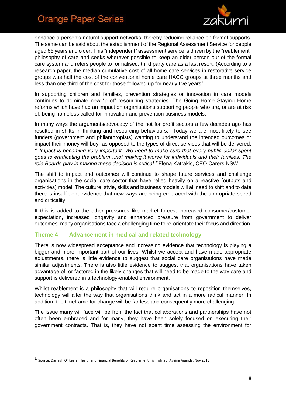

enhance a person's natural support networks, thereby reducing reliance on formal supports. The same can be said about the establishment of the Regional Assessment Service for people aged 65 years and older. This "independent" assessment service is driven by the "reablement" philosophy of care and seeks wherever possible to keep an older person out of the formal care system and refers people to formalised, third party care as a last resort. (According to a research paper, the median cumulative cost of all home care services in restorative service groups was half the cost of the conventional home care HACC groups at three months and less than one third of the cost for those followed up for nearly five years<sup>1</sup>.

In supporting children and families, prevention strategies or innovation in care models continues to dominate new "pilot" resourcing strategies. The Going Home Staying Home reforms which have had an impact on organisations supporting people who are, or are at risk of, being homeless called for innovation and prevention business models.

In many ways the arguments/advocacy of the not for profit sectors a few decades ago has resulted in shifts in thinking and resourcing behaviours. Today we are most likely to see funders (government and philanthropists) wanting to understand the intended outcomes or impact their money will buy- as opposed to the types of direct services that will be delivered. *"..Impact is becoming very important. We need to make sure that every public dollar spent goes to eradicating the problem…not making it worse for individuals and their families. The role Boards play in making these decision is critical."* Elena Katrakis, CEO Carers NSW

The shift to impact and outcomes will continue to shape future services and challenge organisations in the social care sector that have relied heavily on a reactive (outputs and activities) model. The culture, style, skills and business models will all need to shift and to date there is insufficient evidence that new ways are being embraced with the appropriate speed and criticality.

If this is added to the other pressures like market forces, increased consumer/customer expectation, increased longevity and enhanced pressure from government to deliver outcomes, many organisations face a challenging time to re-orientate their focus and direction.

#### **Theme 4 Advancement in medical and related technology**

There is now widespread acceptance and increasing evidence that technology is playing a bigger and more important part of our lives. Whilst we accept and have made appropriate adjustments, there is little evidence to suggest that social care organisations have made similar adjustments. There is also little evidence to suggest that organisations have taken advantage of, or factored in the likely changes that will need to be made to the way care and support is delivered in a technology-enabled environment.

Whilst reablement is a philosophy that will require organisations to reposition themselves, technology will alter the way that organisations think and act in a more radical manner. In addition, the timeframe for change will be far less and consequently more challenging.

The issue many will face will be from the fact that collaborations and partnerships have not often been embraced and for many, they have been solely focused on executing their government contracts. That is, they have not spent time assessing the environment for

**.** 

**<sup>1</sup>** Source: Darragh O' Keefe, Health and Financial Benefits of Reablement Highlighted; Ageing Agenda, Nov 2013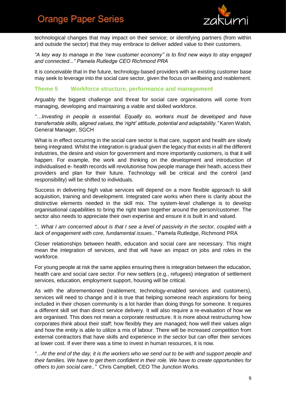

technological changes that may impact on their service; or identifying partners (from within and outside the sector) that they may embrace to deliver added value to their customers.

*"A key way to manage in the 'new customer economy'' is to find new ways to stay engaged and connected..." Pamela Rutledge CEO Richmond PRA*

It is conceivable that in the future, technology-based providers with an existing customer base may seek to leverage into the social care sector, given the focus on wellbeing and reablement.

#### **Theme 5 Workforce structure, performance and management**

Arguably the biggest challenge and threat for social care organisations will come from managing, developing and maintaining a viable and skilled workforce.

*"…Investing in people is essential. Equally so, workers must be developed and have transferrable skills, aligned values, the 'right' attitude, potential and adaptability."* Karen Walsh, General Manager, SGCH

What is in effect occurring in the social care sector is that care, support and health are slowly being integrated. Whilst the integration is gradual given the legacy that exists in all the different industries, the desire and vision for government and more importantly customers, is that it will happen. For example, the work and thinking on the development and introduction of individualised e- health records will revolutionise how people manage their heath, access their providers and plan for their future. Technology will be critical and the control (and responsibility) will be shifted to individuals.

Success in delivering high value services will depend on a more flexible approach to skill acquisition, training and development. Integrated care works when there is clarity about the distinctive elements needed in the skill mix. The system-level challenge is to develop organisational capabilities to bring the right team together around the person/customer. The sector also needs to appreciate their own expertise and ensure it is built in and valued.

*".. What I am concerned about is that I see a level of passivity in the sector, coupled with a lack of engagement with core, fundamental issues.."* Pamela Rutledge, Richmond PRA

Closer relationships between health, education and social care are necessary. This might mean the integration of services, and that will have an impact on jobs and roles in the workforce.

For young people at risk the same applies ensuring there is integration between the education, health care and social care sector. For new settlers (e.g., refugees) integration of settlement services, education, employment support, housing will be critical.

As with the aforementioned (reablement, technology-enabled services and customers), services will need to change and it is true that helping someone reach aspirations for being included in their chosen community is a lot harder than doing things for someone. It requires a different skill set than direct service delivery. It will also require a re-evaluation of how we are organised. This does not mean a corporate restructure. It is more about restructuring how corporates think about their staff; how flexibly they are managed; how well their values align and how the entity is able to utilize a mix of labour. There will be increased competition from external contractors that have skills and experience in the sector but can offer their services at lower cost. If ever there was a time to invest in human resources, it is now.

*"…At the end of the day, it is the workers who we send out to be with and support people and their families. We have to get them confident in their role. We have to create opportunities for others to join social care.."* Chris Campbell, CEO The Junction Works.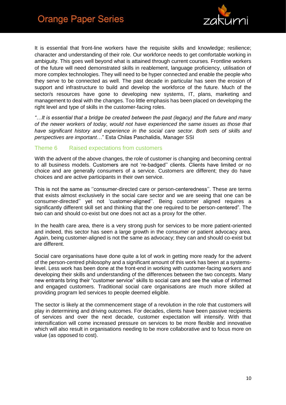

It is essential that front-line workers have the requisite skills and knowledge; resilience; character and understanding of their role. Our workforce needs to get comfortable working in ambiguity. This goes well beyond what is attained through current courses. Frontline workers of the future will need demonstrated skills in reablement, language proficiency, utilisation of more complex technologies. They will need to be hyper connected and enable the people who they serve to be connected as well. The past decade in particular has seen the erosion of support and infrastructure to build and develop the workforce of the future. Much of the sector/s resources have gone to developing new systems, IT, plans, marketing and management to deal with the changes. Too little emphasis has been placed on developing the right level and type of skills in the customer-facing roles.

*"…It is essential that a bridge be created between the past (legacy) and the future and many of the newer workers of today, would not have experienced the same issues as those that have significant history and experience in the social care sector. Both sets of skills and perspectives are important*…" Esta Chilas Paschalidis, Manager SSI

#### Theme 6 Raised expectations from customers

With the advent of the above changes, the role of customer is changing and becoming central to all business models. Customers are not 're-badged'' clients. Clients have limited or no choice and are generally consumers of a service. Customers are different; they do have choices and are active participants in their own service.

This is not the same as ''consumer-directed care or person-centeredness''. These are terms that exists almost exclusively in the social care sector and we are seeing that one can be consumer-directed'' yet not 'customer-aligned''. Being customer aligned requires a significantly different skill set and thinking that the one required to be person-centered". The two can and should co-exist but one does not act as a proxy for the other.

In the health care area, there is a very strong push for services to be more patient-oriented and indeed, this sector has seen a large growth in the consumer or patient advocacy area. Again, being customer-aligned is not the same as advocacy; they can and should co-exist but are different.

Social care organisations have done quite a lot of work in getting more ready for the advent of the person-centred philosophy and a significant amount of this work has been at a systemslevel. Less work has been done at the front-end in working with customer-facing workers and developing their skills and understanding of the differences between the two concepts. Many new entrants bring their "customer service" skills to social care and see the value of informed and engaged customers. Traditional social care organisations are much more skilled at providing program led services to people deemed eligible.

The sector is likely at the commencement stage of a revolution in the role that customers will play in determining and driving outcomes. For decades, clients have been passive recipients of services and over the next decade, customer expectation will intensify. With that intensification will come increased pressure on services to be more flexible and innovative which will also result in organisations needing to be more collaborative and to focus more on value (as opposed to cost).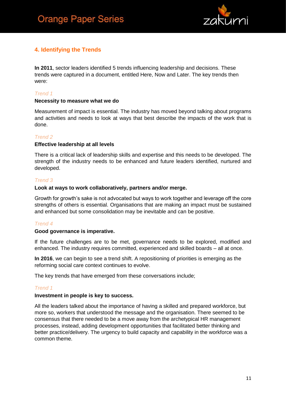

#### <span id="page-10-0"></span>**4. Identifying the Trends**

**In 2011**, sector leaders identified 5 trends influencing leadership and decisions. These trends were captured in a document, entitled Here, Now and Later. The key trends then were:

#### *Trend 1*

#### **Necessity to measure what we do**

Measurement of impact is essential. The industry has moved beyond talking about programs and activities and needs to look at ways that best describe the impacts of the work that is done.

#### *Trend 2*

#### **Effective leadership at all levels**

There is a critical lack of leadership skills and expertise and this needs to be developed. The strength of the industry needs to be enhanced and future leaders identified, nurtured and developed.

#### *Trend 3*

#### **Look at ways to work collaboratively, partners and/or merge.**

Growth for growth's sake is not advocated but ways to work together and leverage off the core strengths of others is essential. Organisations that are making an impact must be sustained and enhanced but some consolidation may be inevitable and can be positive.

#### *Trend 4*

#### **Good governance is imperative.**

If the future challenges are to be met, governance needs to be explored, modified and enhanced. The industry requires committed, experienced and skilled boards – all at once.

**In 2016**, we can begin to see a trend shift. A repositioning of priorities is emerging as the reforming social care context continues to evolve.

The key trends that have emerged from these conversations include;

#### *Trend 1*

#### **Investment in people is key to success.**

All the leaders talked about the importance of having a skilled and prepared workforce, but more so, workers that understood the message and the organisation. There seemed to be consensus that there needed to be a move away from the archetypical HR management processes, instead, adding development opportunities that facilitated better thinking and better practice/delivery. The urgency to build capacity and capability in the workforce was a common theme.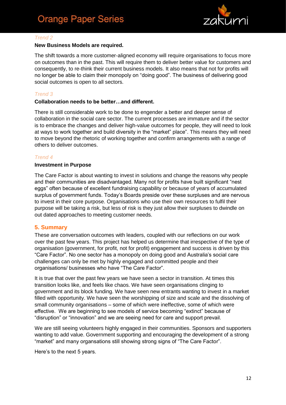

#### *Trend 2*

#### **New Business Models are required.**

The shift towards a more customer-aligned economy will require organisations to focus more on outcomes than in the past. This will require them to deliver better value for customers and consequently, to re-think their current business models. It also means that not for profits will no longer be able to claim their monopoly on "doing good". The business of delivering good social outcomes is open to all sectors.

#### *Trend 3*

#### **Collaboration needs to be better…and different.**

There is still considerable work to be done to engender a better and deeper sense of collaboration in the social care sector. The current processes are immature and if the sector is to embrace the changes and deliver high-value outcomes for people, they will need to look at ways to work together and build diversity in the "market" place". This means they will need to move beyond the rhetoric of working together and confirm arrangements with a range of others to deliver outcomes.

#### *Trend 4*

#### **Investment in Purpose**

The Care Factor is about wanting to invest in solutions and change the reasons why people and their communities are disadvantaged. Many not for profits have built significant "nest eggs" often because of excellent fundraising capability or because of years of accumulated surplus of government funds. Today's Boards preside over these surpluses and are nervous to invest in their core purpose. Organisations who use their own resources to fulfil their purpose will be taking a risk, but less of risk is they just allow their surpluses to dwindle on out dated approaches to meeting customer needs.

#### <span id="page-11-0"></span>**5. Summary**

These are conversation outcomes with leaders, coupled with our reflections on our work over the past few years. This project has helped us determine that irrespective of the type of organisation (government, for profit, not for profit) engagement and success is driven by this "Care Factor". No one sector has a monopoly on doing good and Australia's social care challenges can only be met by highly engaged and committed people and their organisations/ businesses who have "The Care Factor".

It is true that over the past few years we have seen a sector in transition. At times this transition looks like, and feels like chaos. We have seen organisations clinging to government and its block funding. We have seen new entrants wanting to invest in a market filled with opportunity. We have seen the worshipping of size and scale and the dissolving of small community organisations – some of which were ineffective, some of which were effective. We are beginning to see models of service becoming "extinct" because of "disruption" or "innovation" and we are seeing need for care and support prevail.

We are still seeing volunteers highly engaged in their communities. Sponsors and supporters wanting to add value. Government supporting and encouraging the development of a strong "market" and many organsations still showing strong signs of "The Care Factor".

Here's to the next 5 years.